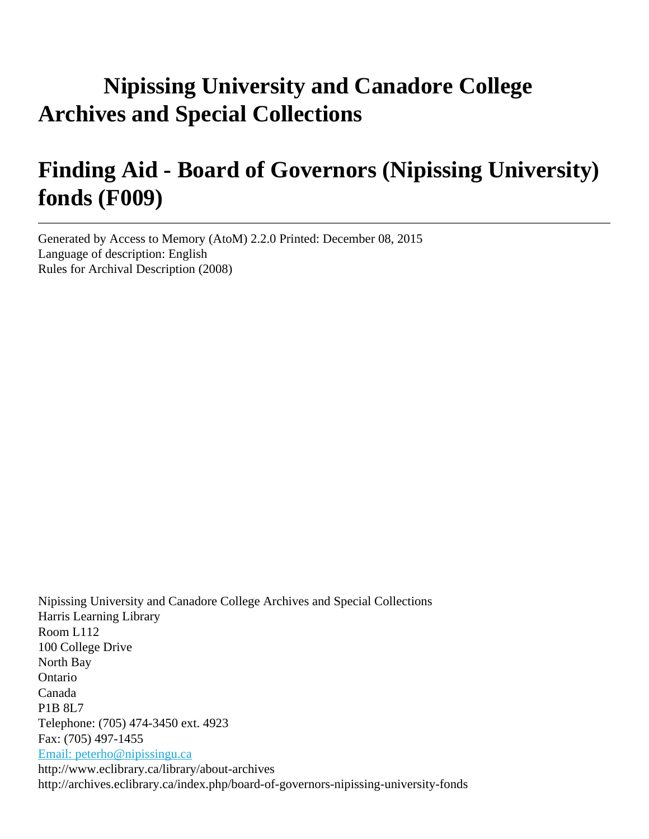# **Nipissing University and Canadore College Archives and Special Collections**

# **Finding Aid - Board of Governors (Nipissing University) fonds (F009)**

Generated by Access to Memory (AtoM) 2.2.0 Printed: December 08, 2015 Language of description: English Rules for Archival Description (2008)

Nipissing University and Canadore College Archives and Special Collections Harris Learning Library Room L112 100 College Drive North Bay Ontario Canada P1B 8L7 Telephone: (705) 474-3450 ext. 4923 Fax: (705) 497-1455 [Email: peterho@nipissingu.ca](mailto:Email: peterho@nipissingu.ca) http://www.eclibrary.ca/library/about-archives http://archives.eclibrary.ca/index.php/board-of-governors-nipissing-university-fonds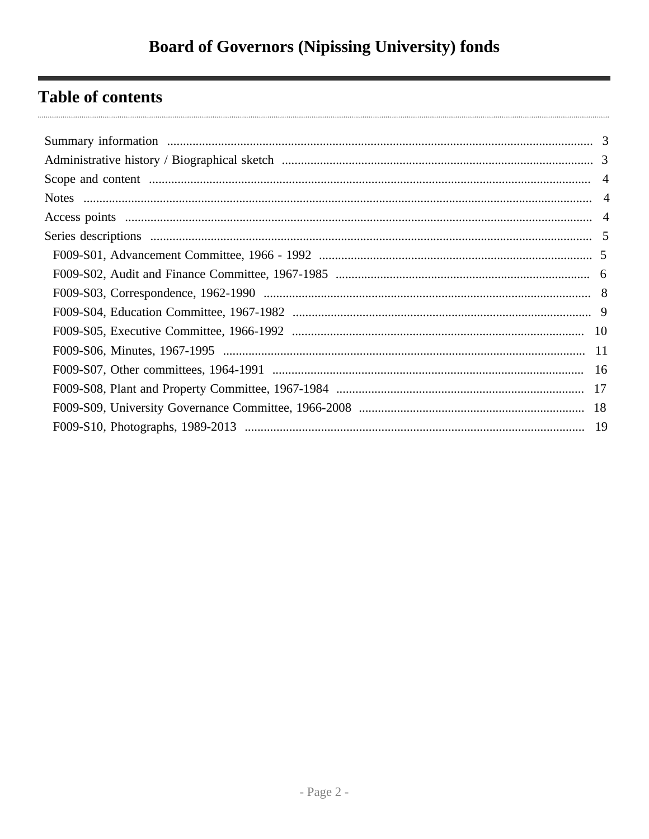## **Table of contents**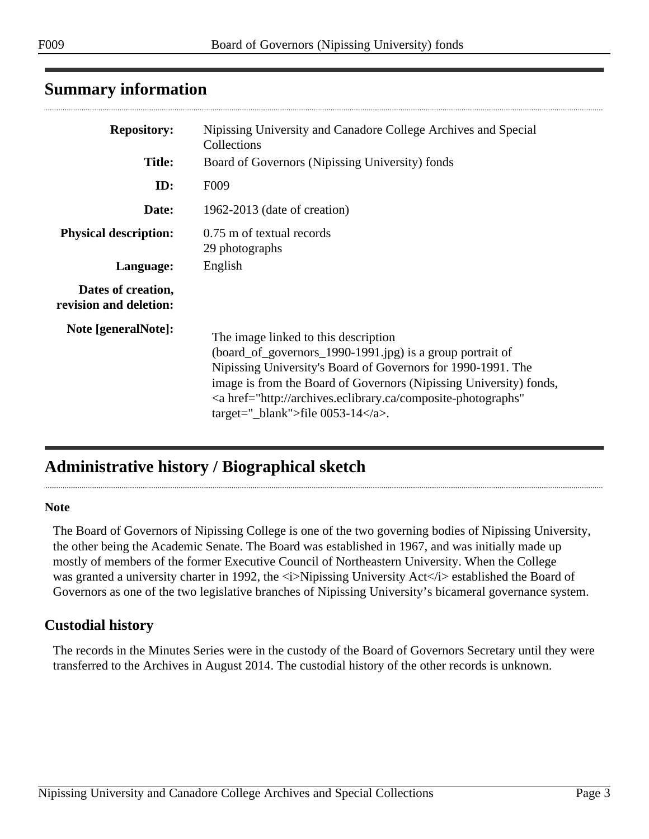<span id="page-2-0"></span>

|  | <b>Summary information</b> |
|--|----------------------------|
|--|----------------------------|

| <b>Repository:</b>                           | Nipissing University and Canadore College Archives and Special<br>Collections                                                                                                                                                                                                                                                                                      |
|----------------------------------------------|--------------------------------------------------------------------------------------------------------------------------------------------------------------------------------------------------------------------------------------------------------------------------------------------------------------------------------------------------------------------|
| <b>Title:</b>                                | Board of Governors (Nipissing University) fonds                                                                                                                                                                                                                                                                                                                    |
| ID:                                          | F <sub>009</sub>                                                                                                                                                                                                                                                                                                                                                   |
| Date:                                        | 1962-2013 (date of creation)                                                                                                                                                                                                                                                                                                                                       |
| <b>Physical description:</b>                 | 0.75 m of textual records<br>29 photographs                                                                                                                                                                                                                                                                                                                        |
| Language:                                    | English                                                                                                                                                                                                                                                                                                                                                            |
| Dates of creation,<br>revision and deletion: |                                                                                                                                                                                                                                                                                                                                                                    |
| Note [generalNote]:                          | The image linked to this description<br>(board_of_governors_1990-1991.jpg) is a group portrait of<br>Nipissing University's Board of Governors for 1990-1991. The<br>image is from the Board of Governors (Nipissing University) fonds,<br><a <br="" href="http://archives.eclibrary.ca/composite-photographs">target="_blank"&gt;file <math>0053-14</math> </a> . |

## <span id="page-2-1"></span>**Administrative history / Biographical sketch**

#### **Note**

. . . . . .

The Board of Governors of Nipissing College is one of the two governing bodies of Nipissing University, the other being the Academic Senate. The Board was established in 1967, and was initially made up mostly of members of the former Executive Council of Northeastern University. When the College was granted a university charter in 1992, the  $\langle i \rangle$ Nipissing University Act $\langle i \rangle$  established the Board of Governors as one of the two legislative branches of Nipissing University's bicameral governance system.

### **Custodial history**

The records in the Minutes Series were in the custody of the Board of Governors Secretary until they were transferred to the Archives in August 2014. The custodial history of the other records is unknown.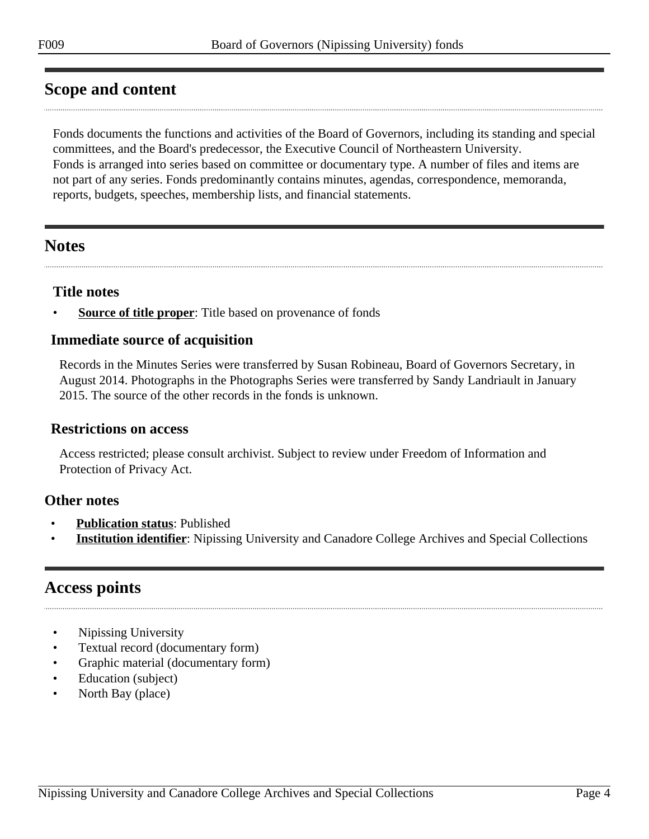### <span id="page-3-0"></span>**Scope and content**

Fonds documents the functions and activities of the Board of Governors, including its standing and special committees, and the Board's predecessor, the Executive Council of Northeastern University. Fonds is arranged into series based on committee or documentary type. A number of files and items are not part of any series. Fonds predominantly contains minutes, agendas, correspondence, memoranda, reports, budgets, speeches, membership lists, and financial statements.

### <span id="page-3-1"></span>**Notes**

### **Title notes**

**<u>Source of title proper</u>**: Title based on provenance of fonds

### **Immediate source of acquisition**

Records in the Minutes Series were transferred by Susan Robineau, Board of Governors Secretary, in August 2014. Photographs in the Photographs Series were transferred by Sandy Landriault in January 2015. The source of the other records in the fonds is unknown.

#### **Restrictions on access**

Access restricted; please consult archivist. Subject to review under Freedom of Information and Protection of Privacy Act.

### **Other notes**

- **Publication status**: Published
- **Institution identifier**: Nipissing University and Canadore College Archives and Special Collections

### <span id="page-3-2"></span>**Access points**

- Nipissing University
- Textual record (documentary form)
- Graphic material (documentary form)
- Education (subject)
- North Bay (place)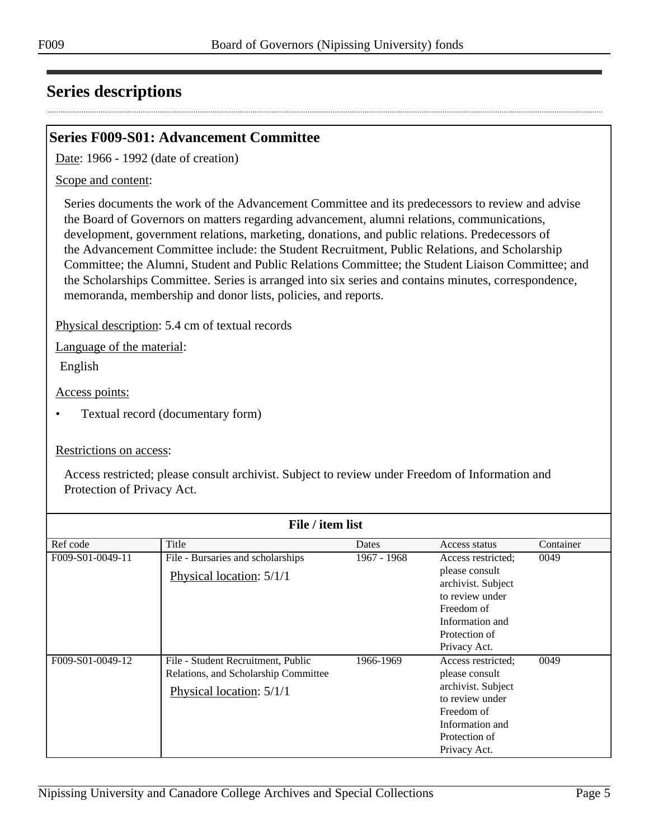### <span id="page-4-0"></span>**Series descriptions**

### <span id="page-4-1"></span>**Series F009-S01: Advancement Committee**

Date: 1966 - 1992 (date of creation)

#### Scope and content:

Series documents the work of the Advancement Committee and its predecessors to review and advise the Board of Governors on matters regarding advancement, alumni relations, communications, development, government relations, marketing, donations, and public relations. Predecessors of the Advancement Committee include: the Student Recruitment, Public Relations, and Scholarship Committee; the Alumni, Student and Public Relations Committee; the Student Liaison Committee; and the Scholarships Committee. Series is arranged into six series and contains minutes, correspondence, memoranda, membership and donor lists, policies, and reports.

Physical description: 5.4 cm of textual records

Language of the material:

English

Access points:

• Textual record (documentary form)

#### Restrictions on access:

|                  | File / item list                                                                                       |             |                                                                                                                                                 |           |
|------------------|--------------------------------------------------------------------------------------------------------|-------------|-------------------------------------------------------------------------------------------------------------------------------------------------|-----------|
| Ref code         | Title                                                                                                  | Dates       | Access status                                                                                                                                   | Container |
| F009-S01-0049-11 | File - Bursaries and scholarships<br>Physical location: 5/1/1                                          | 1967 - 1968 | Access restricted;<br>please consult<br>archivist. Subject<br>to review under<br>Freedom of<br>Information and<br>Protection of<br>Privacy Act. | 0049      |
| F009-S01-0049-12 | File - Student Recruitment, Public<br>Relations, and Scholarship Committee<br>Physical location: 5/1/1 | 1966-1969   | Access restricted:<br>please consult<br>archivist. Subject<br>to review under<br>Freedom of<br>Information and<br>Protection of<br>Privacy Act. | 0049      |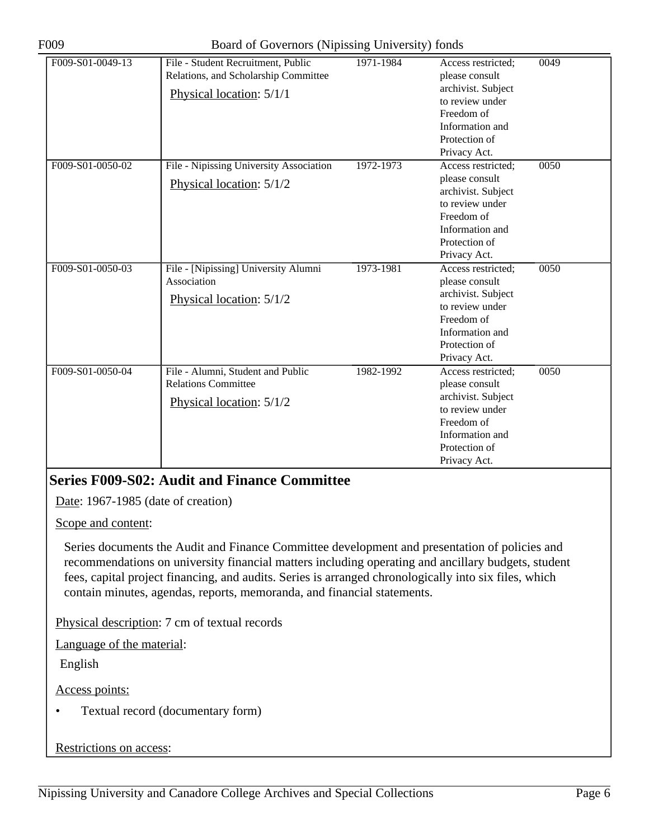| F009-S01-0049-13 | File - Student Recruitment, Public<br>Relations, and Scholarship Committee<br>Physical location: 5/1/1 | 1971-1984 | Access restricted;<br>please consult<br>archivist. Subject<br>to review under<br>Freedom of<br>Information and<br>Protection of<br>Privacy Act. | 0049 |
|------------------|--------------------------------------------------------------------------------------------------------|-----------|-------------------------------------------------------------------------------------------------------------------------------------------------|------|
| F009-S01-0050-02 | File - Nipissing University Association<br>Physical location: 5/1/2                                    | 1972-1973 | Access restricted:<br>please consult<br>archivist. Subject<br>to review under<br>Freedom of<br>Information and<br>Protection of<br>Privacy Act. | 0050 |
| F009-S01-0050-03 | File - [Nipissing] University Alumni<br>Association<br>Physical location: 5/1/2                        | 1973-1981 | Access restricted;<br>please consult<br>archivist. Subject<br>to review under<br>Freedom of<br>Information and<br>Protection of<br>Privacy Act. | 0050 |
| F009-S01-0050-04 | File - Alumni, Student and Public<br><b>Relations Committee</b><br>Physical location: 5/1/2            | 1982-1992 | Access restricted;<br>please consult<br>archivist. Subject<br>to review under<br>Freedom of<br>Information and<br>Protection of<br>Privacy Act. | 0050 |

### <span id="page-5-0"></span>**Series F009-S02: Audit and Finance Committee**

Date: 1967-1985 (date of creation)

Scope and content:

Series documents the Audit and Finance Committee development and presentation of policies and recommendations on university financial matters including operating and ancillary budgets, student fees, capital project financing, and audits. Series is arranged chronologically into six files, which contain minutes, agendas, reports, memoranda, and financial statements.

Physical description: 7 cm of textual records

Language of the material:

English

Access points:

• Textual record (documentary form)

#### Restrictions on access: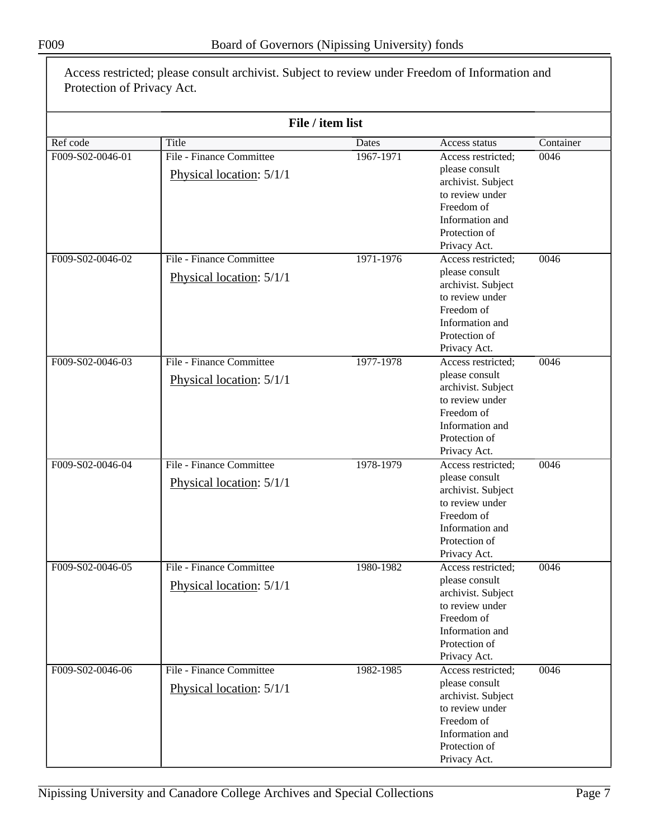|                  |                                                      | File / item list |                                                                                                                                                 |           |
|------------------|------------------------------------------------------|------------------|-------------------------------------------------------------------------------------------------------------------------------------------------|-----------|
|                  |                                                      |                  |                                                                                                                                                 |           |
| Ref code         | Title                                                | Dates            | Access status                                                                                                                                   | Container |
| F009-S02-0046-01 | File - Finance Committee<br>Physical location: 5/1/1 | 1967-1971        | Access restricted;<br>please consult<br>archivist. Subject<br>to review under<br>Freedom of<br>Information and<br>Protection of<br>Privacy Act. | 0046      |
| F009-S02-0046-02 | File - Finance Committee                             | 1971-1976        | Access restricted;                                                                                                                              | 0046      |
|                  | Physical location: 5/1/1                             |                  | please consult<br>archivist. Subject<br>to review under<br>Freedom of<br>Information and<br>Protection of<br>Privacy Act.                       |           |
| F009-S02-0046-03 | File - Finance Committee<br>Physical location: 5/1/1 | 1977-1978        | Access restricted;<br>please consult<br>archivist. Subject<br>to review under<br>Freedom of<br>Information and<br>Protection of<br>Privacy Act. | 0046      |
| F009-S02-0046-04 | File - Finance Committee<br>Physical location: 5/1/1 | 1978-1979        | Access restricted;<br>please consult<br>archivist. Subject<br>to review under<br>Freedom of<br>Information and<br>Protection of<br>Privacy Act. | 0046      |
| F009-S02-0046-05 | File - Finance Committee<br>Physical location: 5/1/1 | 1980-1982        | Access restricted;<br>please consult<br>archivist. Subject<br>to review under<br>Freedom of<br>Information and<br>Protection of<br>Privacy Act. | 0046      |
| F009-S02-0046-06 | File - Finance Committee<br>Physical location: 5/1/1 | 1982-1985        | Access restricted;<br>please consult<br>archivist. Subject<br>to review under<br>Freedom of<br>Information and<br>Protection of<br>Privacy Act. | 0046      |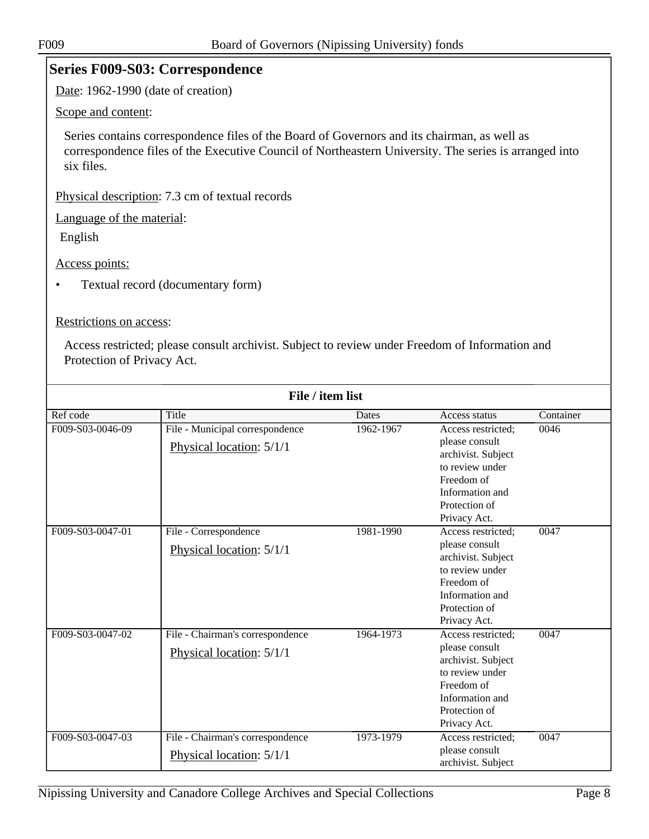### <span id="page-7-0"></span>**Series F009-S03: Correspondence**

Date: 1962-1990 (date of creation)

Scope and content:

Series contains correspondence files of the Board of Governors and its chairman, as well as correspondence files of the Executive Council of Northeastern University. The series is arranged into six files.

Physical description: 7.3 cm of textual records

Language of the material:

English

Access points:

• Textual record (documentary form)

#### Restrictions on access:

|                  | File / item list                                             |           |                                                                                                                                                 |           |
|------------------|--------------------------------------------------------------|-----------|-------------------------------------------------------------------------------------------------------------------------------------------------|-----------|
| Ref code         | Title                                                        | Dates     | Access status                                                                                                                                   | Container |
| F009-S03-0046-09 | File - Municipal correspondence<br>Physical location: 5/1/1  | 1962-1967 | Access restricted:<br>please consult<br>archivist. Subject<br>to review under<br>Freedom of<br>Information and<br>Protection of<br>Privacy Act. | 0046      |
| F009-S03-0047-01 | File - Correspondence<br>Physical location: 5/1/1            | 1981-1990 | Access restricted:<br>please consult<br>archivist. Subject<br>to review under<br>Freedom of<br>Information and<br>Protection of<br>Privacy Act. | 0047      |
| F009-S03-0047-02 | File - Chairman's correspondence<br>Physical location: 5/1/1 | 1964-1973 | Access restricted;<br>please consult<br>archivist. Subject<br>to review under<br>Freedom of<br>Information and<br>Protection of<br>Privacy Act. | 0047      |
| F009-S03-0047-03 | File - Chairman's correspondence<br>Physical location: 5/1/1 | 1973-1979 | Access restricted;<br>please consult<br>archivist. Subject                                                                                      | 0047      |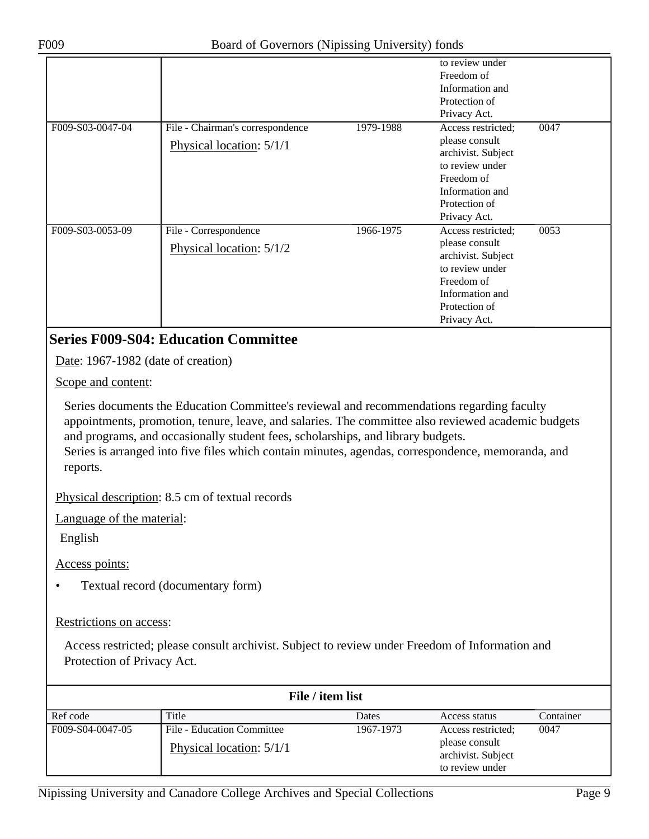| F009                                 | Board of Governors (Nipissing University) fonds                                                                                                                                                                                                                                                                                                                                         |           |                                                                                                                                                 |      |
|--------------------------------------|-----------------------------------------------------------------------------------------------------------------------------------------------------------------------------------------------------------------------------------------------------------------------------------------------------------------------------------------------------------------------------------------|-----------|-------------------------------------------------------------------------------------------------------------------------------------------------|------|
|                                      |                                                                                                                                                                                                                                                                                                                                                                                         |           | to review under<br>Freedom of<br>Information and<br>Protection of<br>Privacy Act.                                                               |      |
| F009-S03-0047-04                     | File - Chairman's correspondence<br>Physical location: 5/1/1                                                                                                                                                                                                                                                                                                                            | 1979-1988 | Access restricted;<br>please consult<br>archivist. Subject<br>to review under<br>Freedom of<br>Information and<br>Protection of<br>Privacy Act. | 0047 |
| F009-S03-0053-09                     | File - Correspondence<br>Physical location: 5/1/2                                                                                                                                                                                                                                                                                                                                       | 1966-1975 | Access restricted;<br>please consult<br>archivist. Subject<br>to review under<br>Freedom of<br>Information and<br>Protection of<br>Privacy Act. | 0053 |
|                                      | <b>Series F009-S04: Education Committee</b>                                                                                                                                                                                                                                                                                                                                             |           |                                                                                                                                                 |      |
| Date: 1967-1982 (date of creation)   |                                                                                                                                                                                                                                                                                                                                                                                         |           |                                                                                                                                                 |      |
| Scope and content:                   |                                                                                                                                                                                                                                                                                                                                                                                         |           |                                                                                                                                                 |      |
| reports.                             | Series documents the Education Committee's reviewal and recommendations regarding faculty<br>appointments, promotion, tenure, leave, and salaries. The committee also reviewed academic budgets<br>and programs, and occasionally student fees, scholarships, and library budgets.<br>Series is arranged into five files which contain minutes, agendas, correspondence, memoranda, and |           |                                                                                                                                                 |      |
|                                      | Physical description: 8.5 cm of textual records                                                                                                                                                                                                                                                                                                                                         |           |                                                                                                                                                 |      |
| Language of the material:<br>English |                                                                                                                                                                                                                                                                                                                                                                                         |           |                                                                                                                                                 |      |
| Access points:                       |                                                                                                                                                                                                                                                                                                                                                                                         |           |                                                                                                                                                 |      |
| $\bullet$                            | Textual record (documentary form)                                                                                                                                                                                                                                                                                                                                                       |           |                                                                                                                                                 |      |

<span id="page-8-0"></span>Restrictions on access:

|                  | File / item list           |              |                                                         |           |
|------------------|----------------------------|--------------|---------------------------------------------------------|-----------|
| Ref code         | Title                      | <b>Dates</b> | Access status                                           | Container |
| F009-S04-0047-05 | File - Education Committee | 1967-1973    | Access restricted;                                      | 0047      |
|                  | Physical location: 5/1/1   |              | please consult<br>archivist. Subject<br>to review under |           |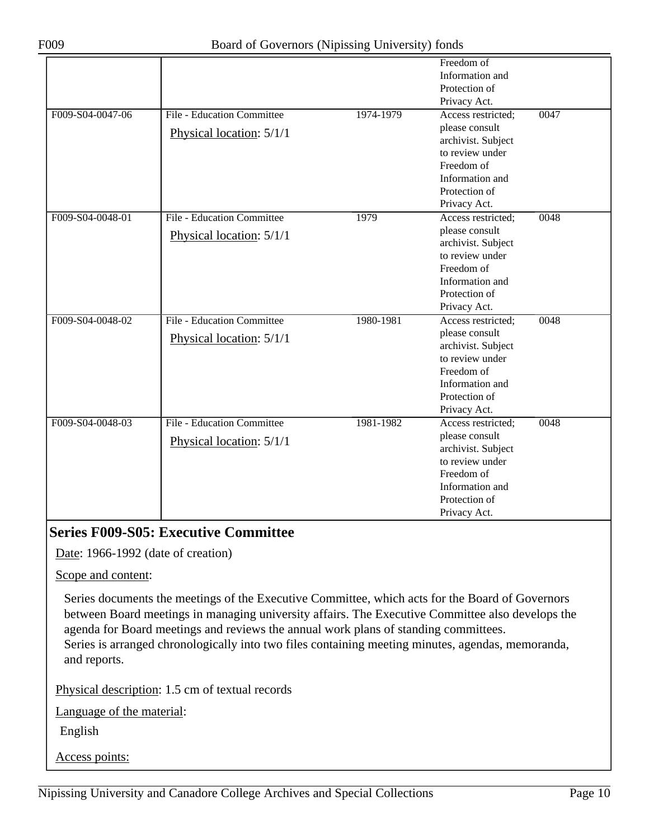|                  |                                   |           | Freedom of         |      |
|------------------|-----------------------------------|-----------|--------------------|------|
|                  |                                   |           | Information and    |      |
|                  |                                   |           | Protection of      |      |
|                  |                                   |           | Privacy Act.       |      |
| F009-S04-0047-06 | <b>File - Education Committee</b> | 1974-1979 | Access restricted: | 0047 |
|                  | Physical location: 5/1/1          |           | please consult     |      |
|                  |                                   |           | archivist. Subject |      |
|                  |                                   |           | to review under    |      |
|                  |                                   |           | Freedom of         |      |
|                  |                                   |           | Information and    |      |
|                  |                                   |           | Protection of      |      |
|                  |                                   |           | Privacy Act.       |      |
| F009-S04-0048-01 | <b>File - Education Committee</b> | 1979      | Access restricted; | 0048 |
|                  | Physical location: 5/1/1          |           | please consult     |      |
|                  |                                   |           | archivist. Subject |      |
|                  |                                   |           | to review under    |      |
|                  |                                   |           | Freedom of         |      |
|                  |                                   |           | Information and    |      |
|                  |                                   |           | Protection of      |      |
|                  |                                   |           | Privacy Act.       |      |
| F009-S04-0048-02 | File - Education Committee        | 1980-1981 | Access restricted; | 0048 |
|                  | Physical location: 5/1/1          |           | please consult     |      |
|                  |                                   |           | archivist. Subject |      |
|                  |                                   |           | to review under    |      |
|                  |                                   |           | Freedom of         |      |
|                  |                                   |           | Information and    |      |
|                  |                                   |           | Protection of      |      |
|                  |                                   |           | Privacy Act.       |      |
| F009-S04-0048-03 | <b>File - Education Committee</b> | 1981-1982 | Access restricted; | 0048 |
|                  | Physical location: 5/1/1          |           | please consult     |      |
|                  |                                   |           | archivist. Subject |      |
|                  |                                   |           | to review under    |      |
|                  |                                   |           | Freedom of         |      |
|                  |                                   |           | Information and    |      |
|                  |                                   |           | Protection of      |      |
|                  |                                   |           | Privacy Act.       |      |

### <span id="page-9-0"></span>**Series F009-S05: Executive Committee**

Date: 1966-1992 (date of creation)

Scope and content:

Series documents the meetings of the Executive Committee, which acts for the Board of Governors between Board meetings in managing university affairs. The Executive Committee also develops the agenda for Board meetings and reviews the annual work plans of standing committees. Series is arranged chronologically into two files containing meeting minutes, agendas, memoranda, and reports.

Physical description: 1.5 cm of textual records

Language of the material:

English

Access points: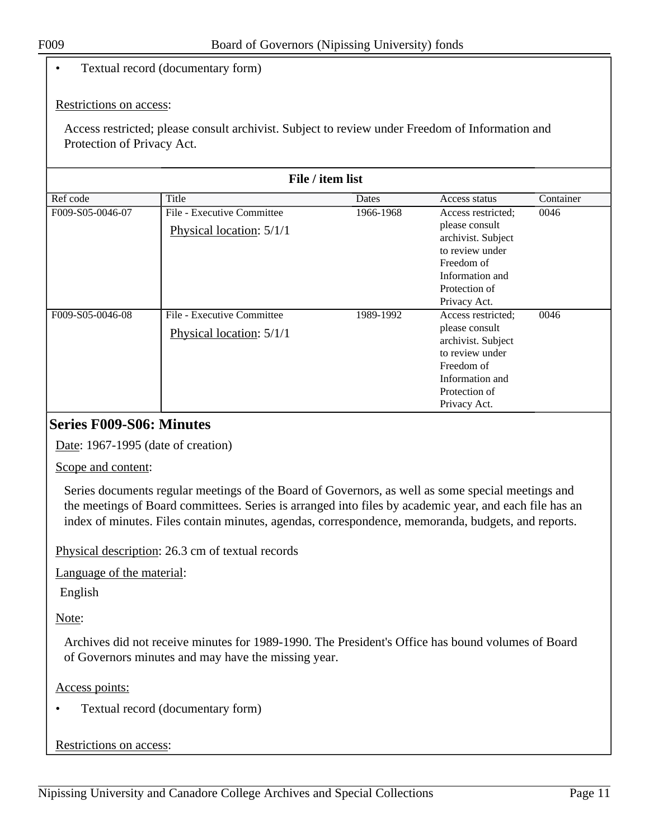#### • Textual record (documentary form)

#### Restrictions on access:

Access restricted; please consult archivist. Subject to review under Freedom of Information and Protection of Privacy Act.

|                  | File / item list                                       |           |                                                                                                                                                 |           |  |
|------------------|--------------------------------------------------------|-----------|-------------------------------------------------------------------------------------------------------------------------------------------------|-----------|--|
| Ref code         | Title                                                  | Dates     | Access status                                                                                                                                   | Container |  |
| F009-S05-0046-07 | File - Executive Committee<br>Physical location: 5/1/1 | 1966-1968 | Access restricted;<br>please consult<br>archivist. Subject<br>to review under<br>Freedom of<br>Information and<br>Protection of<br>Privacy Act. | 0046      |  |
| F009-S05-0046-08 | File - Executive Committee<br>Physical location: 5/1/1 | 1989-1992 | Access restricted:<br>please consult<br>archivist. Subject<br>to review under<br>Freedom of<br>Information and<br>Protection of<br>Privacy Act. | 0046      |  |

#### <span id="page-10-0"></span>**Series F009-S06: Minutes**

Date: 1967-1995 (date of creation)

Scope and content:

Series documents regular meetings of the Board of Governors, as well as some special meetings and the meetings of Board committees. Series is arranged into files by academic year, and each file has an index of minutes. Files contain minutes, agendas, correspondence, memoranda, budgets, and reports.

Physical description: 26.3 cm of textual records

Language of the material:

English

Note:

Archives did not receive minutes for 1989-1990. The President's Office has bound volumes of Board of Governors minutes and may have the missing year.

#### Access points:

• Textual record (documentary form)

#### Restrictions on access: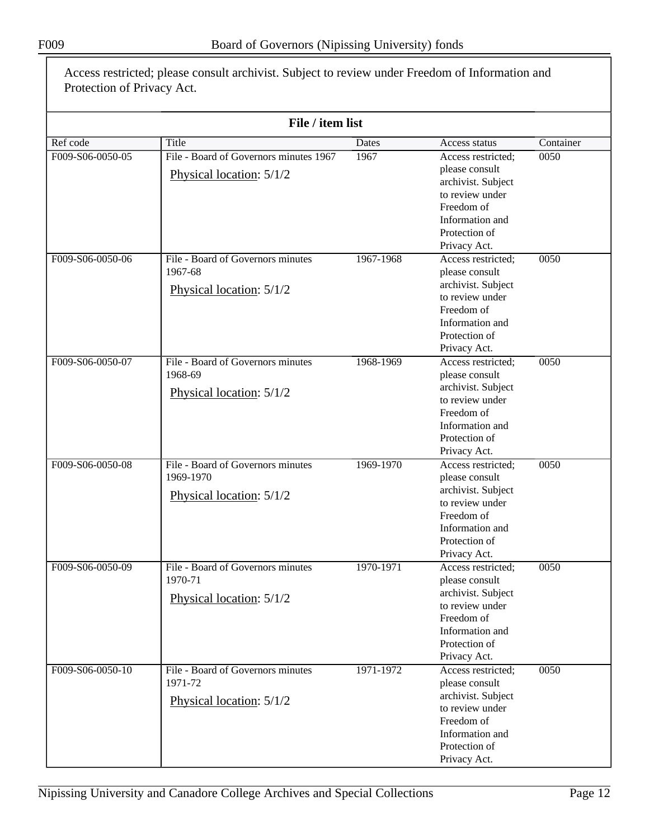|                  | File / item list                       |           |                                    |           |
|------------------|----------------------------------------|-----------|------------------------------------|-----------|
| Ref code         | Title                                  | Dates     | Access status                      | Container |
| F009-S06-0050-05 | File - Board of Governors minutes 1967 | 1967      | Access restricted;                 | 0050      |
|                  |                                        |           | please consult                     |           |
|                  | Physical location: 5/1/2               |           | archivist. Subject                 |           |
|                  |                                        |           | to review under                    |           |
|                  |                                        |           | Freedom of                         |           |
|                  |                                        |           | Information and                    |           |
|                  |                                        |           | Protection of                      |           |
|                  |                                        |           | Privacy Act.                       |           |
| F009-S06-0050-06 | File - Board of Governors minutes      | 1967-1968 | Access restricted;                 | 0050      |
|                  | 1967-68                                |           | please consult                     |           |
|                  |                                        |           | archivist. Subject                 |           |
|                  | Physical location: 5/1/2               |           | to review under                    |           |
|                  |                                        |           | Freedom of                         |           |
|                  |                                        |           | Information and                    |           |
|                  |                                        |           | Protection of                      |           |
|                  |                                        |           | Privacy Act.                       |           |
| F009-S06-0050-07 | File - Board of Governors minutes      | 1968-1969 | Access restricted;                 | 0050      |
|                  | 1968-69                                |           | please consult                     |           |
|                  | Physical location: 5/1/2               |           | archivist. Subject                 |           |
|                  |                                        |           | to review under                    |           |
|                  |                                        |           | Freedom of                         |           |
|                  |                                        |           | Information and                    |           |
|                  |                                        |           | Protection of                      |           |
| F009-S06-0050-08 | File - Board of Governors minutes      | 1969-1970 | Privacy Act.<br>Access restricted; | 0050      |
|                  | 1969-1970                              |           | please consult                     |           |
|                  |                                        |           | archivist. Subject                 |           |
|                  | Physical location: 5/1/2               |           | to review under                    |           |
|                  |                                        |           | Freedom of                         |           |
|                  |                                        |           | Information and                    |           |
|                  |                                        |           | Protection of                      |           |
|                  |                                        |           | Privacy Act.                       |           |
| F009-S06-0050-09 | File - Board of Governors minutes      | 1970-1971 | Access restricted;                 | 0050      |
|                  | 1970-71                                |           | please consult                     |           |
|                  | Physical location: 5/1/2               |           | archivist. Subject                 |           |
|                  |                                        |           | to review under                    |           |
|                  |                                        |           | Freedom of                         |           |
|                  |                                        |           | Information and                    |           |
|                  |                                        |           | Protection of                      |           |
|                  |                                        |           | Privacy Act.                       |           |
| F009-S06-0050-10 | File - Board of Governors minutes      | 1971-1972 | Access restricted;                 | 0050      |
|                  | 1971-72                                |           | please consult                     |           |
|                  | Physical location: 5/1/2               |           | archivist. Subject                 |           |
|                  |                                        |           | to review under                    |           |
|                  |                                        |           | Freedom of                         |           |
|                  |                                        |           |                                    |           |
|                  |                                        |           | Information and<br>Protection of   |           |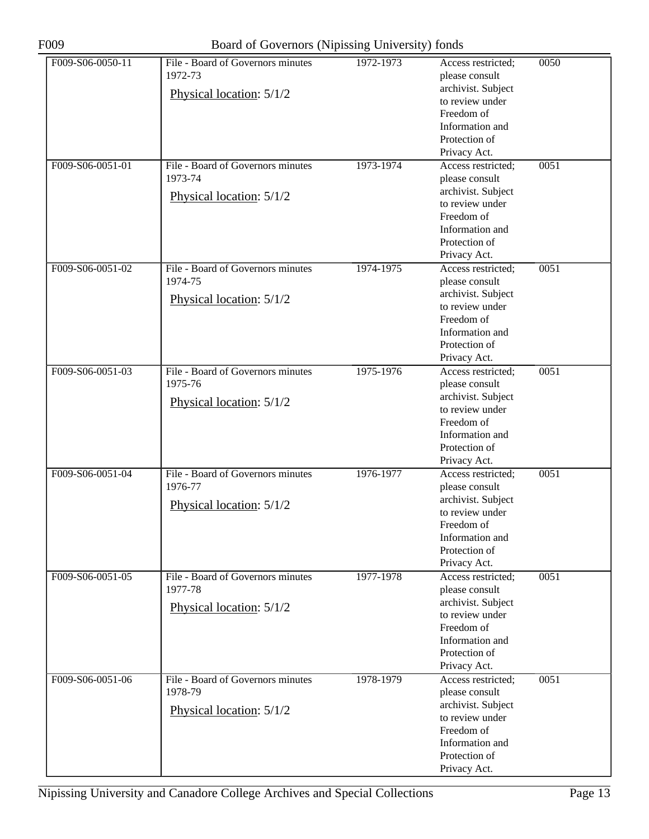| F009-S06-0050-11 | File - Board of Governors minutes<br>1972-73 | 1972-1973 | Access restricted:<br>please consult  | 0050 |
|------------------|----------------------------------------------|-----------|---------------------------------------|------|
|                  | Physical location: 5/1/2                     |           | archivist. Subject<br>to review under |      |
|                  |                                              |           | Freedom of                            |      |
|                  |                                              |           | Information and                       |      |
|                  |                                              |           | Protection of<br>Privacy Act.         |      |
| F009-S06-0051-01 | File - Board of Governors minutes            | 1973-1974 | Access restricted;                    | 0051 |
|                  | 1973-74                                      |           | please consult                        |      |
|                  | Physical location: 5/1/2                     |           | archivist. Subject                    |      |
|                  |                                              |           | to review under                       |      |
|                  |                                              |           | Freedom of                            |      |
|                  |                                              |           | Information and<br>Protection of      |      |
|                  |                                              |           | Privacy Act.                          |      |
| F009-S06-0051-02 | File - Board of Governors minutes            | 1974-1975 | Access restricted;                    | 0051 |
|                  | 1974-75                                      |           | please consult                        |      |
|                  | Physical location: 5/1/2                     |           | archivist. Subject<br>to review under |      |
|                  |                                              |           | Freedom of                            |      |
|                  |                                              |           | Information and                       |      |
|                  |                                              |           | Protection of                         |      |
|                  |                                              |           | Privacy Act.                          |      |
| F009-S06-0051-03 | File - Board of Governors minutes            | 1975-1976 | Access restricted;                    | 0051 |
|                  | 1975-76                                      |           | please consult<br>archivist. Subject  |      |
|                  | Physical location: 5/1/2                     |           | to review under                       |      |
|                  |                                              |           | Freedom of                            |      |
|                  |                                              |           | Information and                       |      |
|                  |                                              |           | Protection of                         |      |
| F009-S06-0051-04 | File - Board of Governors minutes            |           | Privacy Act.                          |      |
|                  | 1976-77                                      | 1976-1977 | Access restricted;<br>please consult  | 0051 |
|                  |                                              |           | archivist. Subject                    |      |
|                  | Physical location: 5/1/2                     |           | to review under                       |      |
|                  |                                              |           | Freedom of                            |      |
|                  |                                              |           | Information and                       |      |
|                  |                                              |           | Protection of                         |      |
| F009-S06-0051-05 | File - Board of Governors minutes            | 1977-1978 | Privacy Act.<br>Access restricted;    | 0051 |
|                  | 1977-78                                      |           | please consult                        |      |
|                  |                                              |           | archivist. Subject                    |      |
|                  | Physical location: 5/1/2                     |           | to review under                       |      |
|                  |                                              |           | Freedom of                            |      |
|                  |                                              |           | Information and                       |      |
|                  |                                              |           | Protection of<br>Privacy Act.         |      |
| F009-S06-0051-06 | File - Board of Governors minutes            | 1978-1979 | Access restricted;                    | 0051 |
|                  | 1978-79                                      |           | please consult                        |      |
|                  | Physical location: 5/1/2                     |           | archivist. Subject                    |      |
|                  |                                              |           | to review under                       |      |
|                  |                                              |           | Freedom of                            |      |
|                  |                                              |           | Information and<br>Protection of      |      |
|                  |                                              |           | Privacy Act.                          |      |
|                  |                                              |           |                                       |      |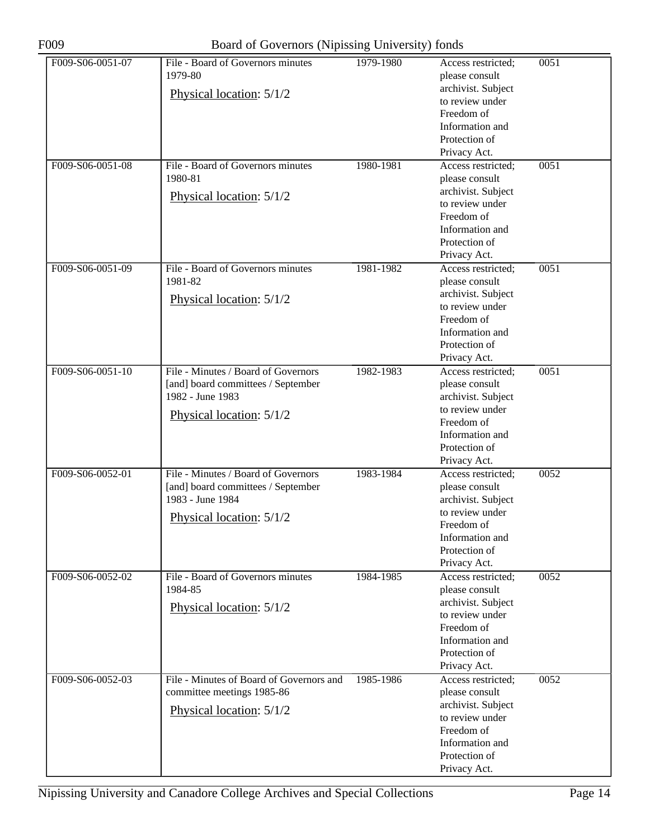| F009-S06-0051-07 | File - Board of Governors minutes<br>1979-80                           | 1979-1980 | Access restricted;<br>please consult                | 0051 |
|------------------|------------------------------------------------------------------------|-----------|-----------------------------------------------------|------|
|                  | Physical location: 5/1/2                                               |           | archivist. Subject<br>to review under<br>Freedom of |      |
|                  |                                                                        |           | Information and<br>Protection of                    |      |
|                  |                                                                        |           | Privacy Act.                                        |      |
| F009-S06-0051-08 | File - Board of Governors minutes                                      | 1980-1981 | Access restricted;                                  | 0051 |
|                  | 1980-81                                                                |           | please consult                                      |      |
|                  | Physical location: 5/1/2                                               |           | archivist. Subject                                  |      |
|                  |                                                                        |           | to review under<br>Freedom of                       |      |
|                  |                                                                        |           | Information and                                     |      |
|                  |                                                                        |           | Protection of                                       |      |
|                  |                                                                        |           | Privacy Act.                                        |      |
| F009-S06-0051-09 | File - Board of Governors minutes                                      | 1981-1982 | Access restricted;                                  | 0051 |
|                  | 1981-82                                                                |           | please consult                                      |      |
|                  | Physical location: 5/1/2                                               |           | archivist. Subject<br>to review under               |      |
|                  |                                                                        |           | Freedom of                                          |      |
|                  |                                                                        |           | Information and                                     |      |
|                  |                                                                        |           | Protection of                                       |      |
|                  |                                                                        |           | Privacy Act.                                        |      |
| F009-S06-0051-10 | File - Minutes / Board of Governors                                    | 1982-1983 | Access restricted;                                  | 0051 |
|                  | [and] board committees / September                                     |           | please consult                                      |      |
|                  | 1982 - June 1983                                                       |           | archivist. Subject<br>to review under               |      |
|                  | Physical location: 5/1/2                                               |           | Freedom of                                          |      |
|                  |                                                                        |           | Information and                                     |      |
|                  |                                                                        |           | Protection of                                       |      |
|                  |                                                                        |           | Privacy Act.                                        |      |
| F009-S06-0052-01 | File - Minutes / Board of Governors                                    | 1983-1984 | Access restricted;                                  | 0052 |
|                  | [and] board committees / September<br>1983 - June 1984                 |           | please consult                                      |      |
|                  |                                                                        |           | archivist. Subject<br>to review under               |      |
|                  | Physical location: 5/1/2                                               |           | Freedom of                                          |      |
|                  |                                                                        |           | Information and                                     |      |
|                  |                                                                        |           | Protection of                                       |      |
|                  |                                                                        |           | Privacy Act.                                        |      |
| F009-S06-0052-02 | File - Board of Governors minutes<br>1984-85                           | 1984-1985 | Access restricted;                                  | 0052 |
|                  |                                                                        |           | please consult<br>archivist. Subject                |      |
|                  | Physical location: 5/1/2                                               |           | to review under                                     |      |
|                  |                                                                        |           | Freedom of                                          |      |
|                  |                                                                        |           | Information and                                     |      |
|                  |                                                                        |           | Protection of                                       |      |
|                  |                                                                        |           | Privacy Act.                                        |      |
| F009-S06-0052-03 | File - Minutes of Board of Governors and<br>committee meetings 1985-86 | 1985-1986 | Access restricted;<br>please consult                | 0052 |
|                  |                                                                        |           | archivist. Subject                                  |      |
|                  | Physical location: 5/1/2                                               |           | to review under                                     |      |
|                  |                                                                        |           | Freedom of                                          |      |
|                  |                                                                        |           | Information and                                     |      |
|                  |                                                                        |           | Protection of                                       |      |
|                  |                                                                        |           | Privacy Act.                                        |      |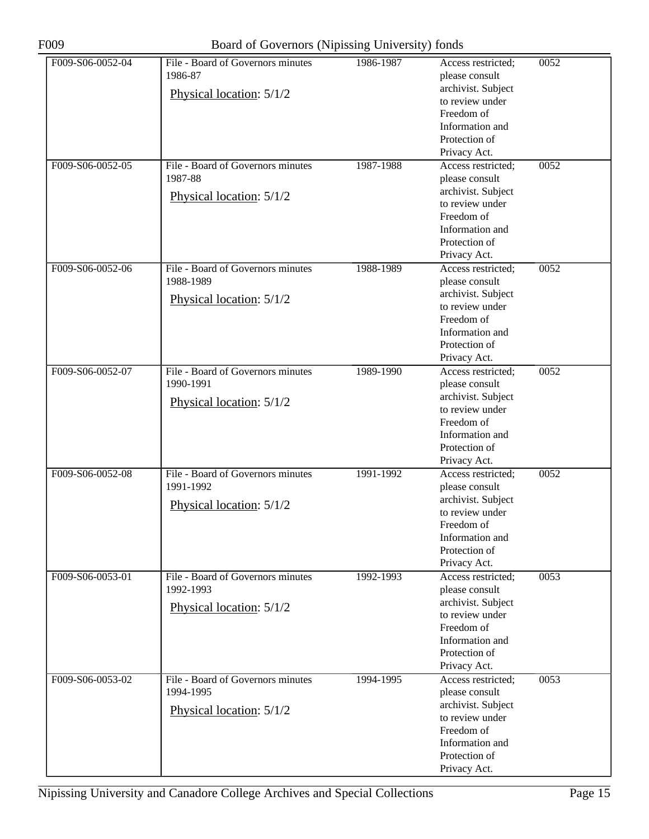| F009-S06-0052-04 | File - Board of Governors minutes<br>1986-87 | 1986-1987 | Access restricted;<br>please consult | 0052 |
|------------------|----------------------------------------------|-----------|--------------------------------------|------|
|                  |                                              |           | archivist. Subject                   |      |
|                  | Physical location: 5/1/2                     |           | to review under                      |      |
|                  |                                              |           | Freedom of                           |      |
|                  |                                              |           | Information and                      |      |
|                  |                                              |           | Protection of                        |      |
|                  |                                              |           | Privacy Act.                         |      |
| F009-S06-0052-05 | File - Board of Governors minutes            | 1987-1988 | Access restricted;                   | 0052 |
|                  | 1987-88                                      |           |                                      |      |
|                  |                                              |           | please consult<br>archivist. Subject |      |
|                  | Physical location: 5/1/2                     |           | to review under                      |      |
|                  |                                              |           | Freedom of                           |      |
|                  |                                              |           |                                      |      |
|                  |                                              |           | Information and                      |      |
|                  |                                              |           | Protection of                        |      |
|                  |                                              |           | Privacy Act.                         |      |
| F009-S06-0052-06 | File - Board of Governors minutes            | 1988-1989 | Access restricted;                   | 0052 |
|                  | 1988-1989                                    |           | please consult                       |      |
|                  | Physical location: 5/1/2                     |           | archivist. Subject                   |      |
|                  |                                              |           | to review under                      |      |
|                  |                                              |           | Freedom of                           |      |
|                  |                                              |           | Information and                      |      |
|                  |                                              |           | Protection of                        |      |
|                  |                                              |           | Privacy Act.                         |      |
| F009-S06-0052-07 | File - Board of Governors minutes            | 1989-1990 | Access restricted;                   | 0052 |
|                  | 1990-1991                                    |           | please consult                       |      |
|                  | Physical location: 5/1/2                     |           | archivist. Subject                   |      |
|                  |                                              |           | to review under                      |      |
|                  |                                              |           | Freedom of                           |      |
|                  |                                              |           | Information and                      |      |
|                  |                                              |           | Protection of                        |      |
|                  |                                              |           | Privacy Act.                         |      |
| F009-S06-0052-08 | File - Board of Governors minutes            | 1991-1992 | Access restricted;                   | 0052 |
|                  | 1991-1992                                    |           | please consult                       |      |
|                  | Physical location: 5/1/2                     |           | archivist. Subject                   |      |
|                  |                                              |           | to review under                      |      |
|                  |                                              |           | Freedom of                           |      |
|                  |                                              |           | Information and                      |      |
|                  |                                              |           | Protection of                        |      |
|                  |                                              |           | Privacy Act.                         |      |
| F009-S06-0053-01 | File - Board of Governors minutes            | 1992-1993 | Access restricted;                   | 0053 |
|                  | 1992-1993                                    |           | please consult                       |      |
|                  | Physical location: 5/1/2                     |           | archivist. Subject                   |      |
|                  |                                              |           | to review under                      |      |
|                  |                                              |           | Freedom of                           |      |
|                  |                                              |           | Information and                      |      |
|                  |                                              |           | Protection of                        |      |
|                  |                                              |           | Privacy Act.                         |      |
| F009-S06-0053-02 | File - Board of Governors minutes            | 1994-1995 | Access restricted;                   | 0053 |
|                  | 1994-1995                                    |           | please consult                       |      |
|                  | Physical location: 5/1/2                     |           | archivist. Subject                   |      |
|                  |                                              |           | to review under                      |      |
|                  |                                              |           | Freedom of                           |      |
|                  |                                              |           | Information and                      |      |
|                  |                                              |           | Protection of                        |      |
|                  |                                              |           | Privacy Act.                         |      |
|                  |                                              |           |                                      |      |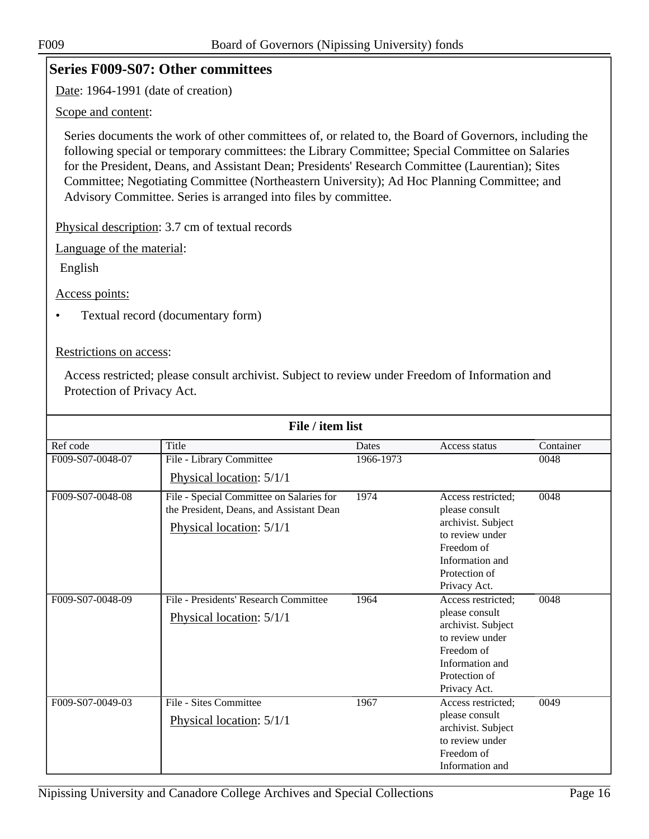### <span id="page-15-0"></span>**Series F009-S07: Other committees**

Date: 1964-1991 (date of creation)

Scope and content:

Series documents the work of other committees of, or related to, the Board of Governors, including the following special or temporary committees: the Library Committee; Special Committee on Salaries for the President, Deans, and Assistant Dean; Presidents' Research Committee (Laurentian); Sites Committee; Negotiating Committee (Northeastern University); Ad Hoc Planning Committee; and Advisory Committee. Series is arranged into files by committee.

Physical description: 3.7 cm of textual records

Language of the material:

English

Access points:

• Textual record (documentary form)

Restrictions on access:

| File / item list |                                                                                                                  |           |                                                                                                                                                 |           |  |
|------------------|------------------------------------------------------------------------------------------------------------------|-----------|-------------------------------------------------------------------------------------------------------------------------------------------------|-----------|--|
| Ref code         | Title                                                                                                            | Dates     | Access status                                                                                                                                   | Container |  |
| F009-S07-0048-07 | File - Library Committee                                                                                         | 1966-1973 |                                                                                                                                                 | 0048      |  |
|                  | Physical location: 5/1/1                                                                                         |           |                                                                                                                                                 |           |  |
| F009-S07-0048-08 | File - Special Committee on Salaries for<br>the President, Deans, and Assistant Dean<br>Physical location: 5/1/1 | 1974      | Access restricted;<br>please consult<br>archivist. Subject<br>to review under<br>Freedom of<br>Information and<br>Protection of<br>Privacy Act. | 0048      |  |
| F009-S07-0048-09 | File - Presidents' Research Committee<br>Physical location: 5/1/1                                                | 1964      | Access restricted:<br>please consult<br>archivist. Subject<br>to review under<br>Freedom of<br>Information and<br>Protection of<br>Privacy Act. | 0048      |  |
| F009-S07-0049-03 | File - Sites Committee<br>Physical location: 5/1/1                                                               | 1967      | Access restricted;<br>please consult<br>archivist. Subject<br>to review under<br>Freedom of<br>Information and                                  | 0049      |  |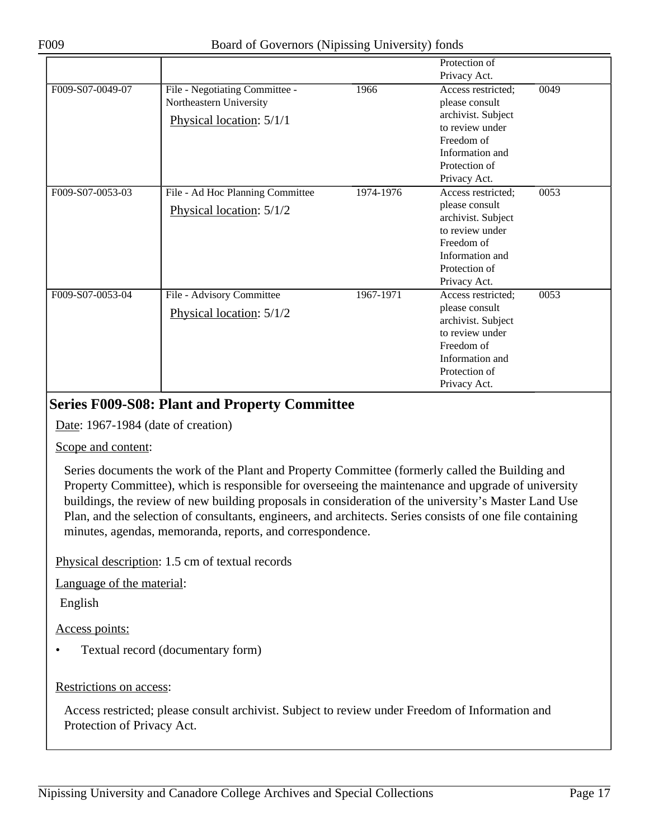|                  |                                                                                       |           | Protection of<br>Privacy Act.                                                                                                                   |      |
|------------------|---------------------------------------------------------------------------------------|-----------|-------------------------------------------------------------------------------------------------------------------------------------------------|------|
| F009-S07-0049-07 | File - Negotiating Committee -<br>Northeastern University<br>Physical location: 5/1/1 | 1966      | Access restricted:<br>please consult<br>archivist. Subject<br>to review under<br>Freedom of<br>Information and<br>Protection of<br>Privacy Act. | 0049 |
| F009-S07-0053-03 | File - Ad Hoc Planning Committee<br>Physical location: 5/1/2                          | 1974-1976 | Access restricted:<br>please consult<br>archivist. Subject<br>to review under<br>Freedom of<br>Information and<br>Protection of<br>Privacy Act. | 0053 |
| F009-S07-0053-04 | File - Advisory Committee<br>Physical location: 5/1/2                                 | 1967-1971 | Access restricted;<br>please consult<br>archivist. Subject<br>to review under<br>Freedom of<br>Information and<br>Protection of<br>Privacy Act. | 0053 |

### <span id="page-16-0"></span>**Series F009-S08: Plant and Property Committee**

Date: 1967-1984 (date of creation)

Scope and content:

Series documents the work of the Plant and Property Committee (formerly called the Building and Property Committee), which is responsible for overseeing the maintenance and upgrade of university buildings, the review of new building proposals in consideration of the university's Master Land Use Plan, and the selection of consultants, engineers, and architects. Series consists of one file containing minutes, agendas, memoranda, reports, and correspondence.

Physical description: 1.5 cm of textual records

Language of the material:

English

Access points:

• Textual record (documentary form)

Restrictions on access: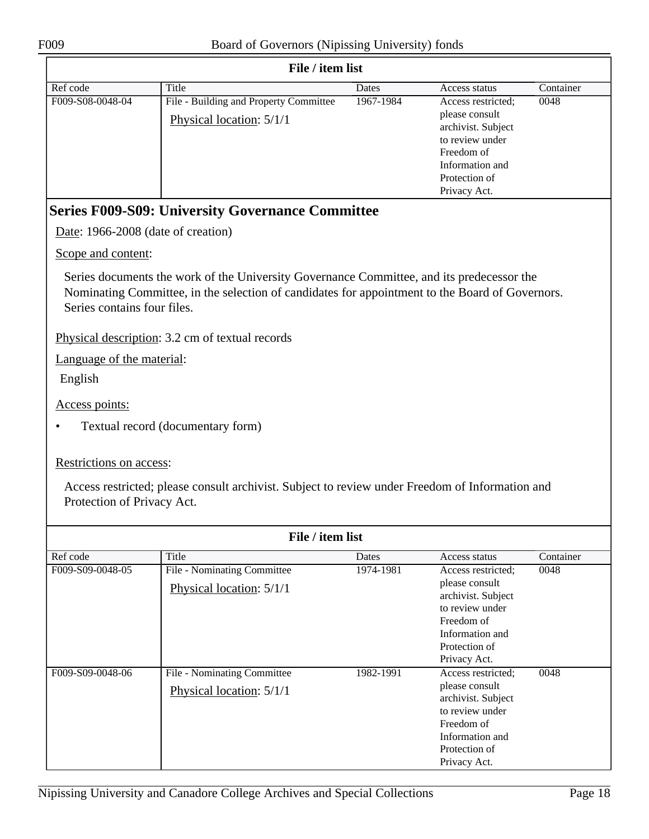<span id="page-17-0"></span>

|                                    | File / item list                                                                                                                                                                             |           |                                                                                                                                                 |           |
|------------------------------------|----------------------------------------------------------------------------------------------------------------------------------------------------------------------------------------------|-----------|-------------------------------------------------------------------------------------------------------------------------------------------------|-----------|
| Ref code                           | Title                                                                                                                                                                                        | Dates     | Access status                                                                                                                                   | Container |
| F009-S08-0048-04                   | File - Building and Property Committee<br>Physical location: 5/1/1                                                                                                                           | 1967-1984 | Access restricted;<br>please consult<br>archivist. Subject<br>to review under<br>Freedom of<br>Information and<br>Protection of<br>Privacy Act. | 0048      |
|                                    | <b>Series F009-S09: University Governance Committee</b>                                                                                                                                      |           |                                                                                                                                                 |           |
| Date: 1966-2008 (date of creation) |                                                                                                                                                                                              |           |                                                                                                                                                 |           |
| Scope and content:                 |                                                                                                                                                                                              |           |                                                                                                                                                 |           |
| Series contains four files.        | Series documents the work of the University Governance Committee, and its predecessor the<br>Nominating Committee, in the selection of candidates for appointment to the Board of Governors. |           |                                                                                                                                                 |           |
|                                    | Physical description: 3.2 cm of textual records                                                                                                                                              |           |                                                                                                                                                 |           |
| Language of the material:          |                                                                                                                                                                                              |           |                                                                                                                                                 |           |
| English                            |                                                                                                                                                                                              |           |                                                                                                                                                 |           |
| Access points:                     |                                                                                                                                                                                              |           |                                                                                                                                                 |           |
|                                    | Textual record (documentary form)                                                                                                                                                            |           |                                                                                                                                                 |           |
| Restrictions on access:            |                                                                                                                                                                                              |           |                                                                                                                                                 |           |
| Protection of Privacy Act.         | Access restricted; please consult archivist. Subject to review under Freedom of Information and                                                                                              |           |                                                                                                                                                 |           |
|                                    | File / item list                                                                                                                                                                             |           |                                                                                                                                                 |           |
| Ref code                           | Title                                                                                                                                                                                        | Dates     | Access status                                                                                                                                   | Container |
| F009-S09-0048-05                   | File - Nominating Committee<br>Physical location: 5/1/1                                                                                                                                      | 1974-1981 | Access restricted;<br>please consult<br>archivist. Subject                                                                                      | 0048      |
|                                    |                                                                                                                                                                                              |           | to review under<br>Freedom of                                                                                                                   |           |
|                                    |                                                                                                                                                                                              |           | Information and                                                                                                                                 |           |
|                                    |                                                                                                                                                                                              |           | Protection of                                                                                                                                   |           |
| F009-S09-0048-06                   | <b>File - Nominating Committee</b>                                                                                                                                                           | 1982-1991 | Privacy Act.<br>Access restricted;                                                                                                              | 0048      |
|                                    | Physical location: 5/1/1                                                                                                                                                                     |           | please consult                                                                                                                                  |           |
|                                    |                                                                                                                                                                                              |           | archivist. Subject<br>to review under                                                                                                           |           |
|                                    |                                                                                                                                                                                              |           | Freedom of                                                                                                                                      |           |
|                                    |                                                                                                                                                                                              |           | Information and<br>Protection of                                                                                                                |           |
|                                    |                                                                                                                                                                                              |           | Privacy Act.                                                                                                                                    |           |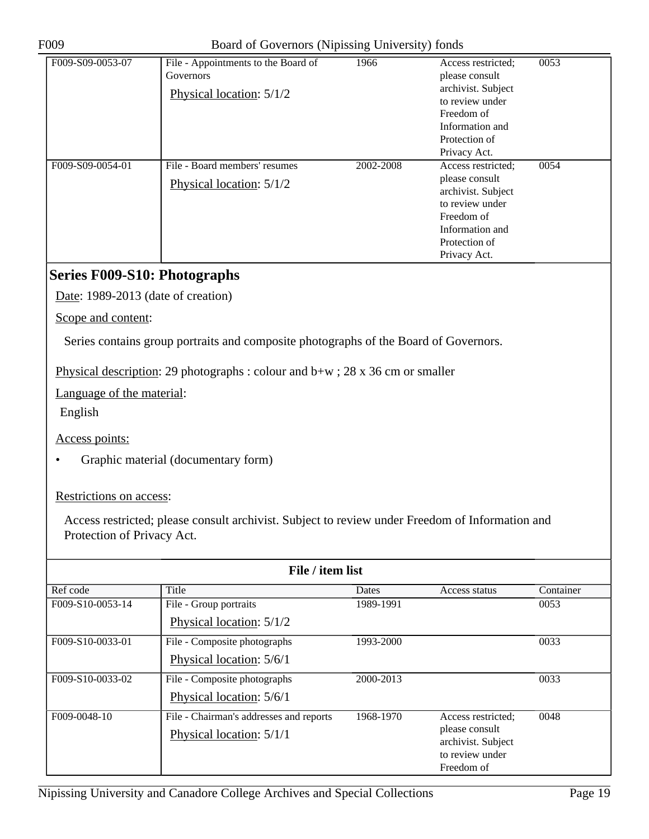| F009-S09-0053-07 | File - Appointments to the Board of<br>Governors<br>Physical location: 5/1/2 | 1966      | Access restricted;<br>please consult<br>archivist. Subject<br>to review under<br>Freedom of<br>Information and<br>Protection of<br>Privacy Act. | 0053 |
|------------------|------------------------------------------------------------------------------|-----------|-------------------------------------------------------------------------------------------------------------------------------------------------|------|
| F009-S09-0054-01 | File - Board members' resumes<br>Physical location: 5/1/2                    | 2002-2008 | Access restricted;<br>please consult<br>archivist. Subject<br>to review under<br>Freedom of<br>Information and<br>Protection of<br>Privacy Act. | 0054 |

### <span id="page-18-0"></span>**Series F009-S10: Photographs**

Date: 1989-2013 (date of creation)

Scope and content:

Series contains group portraits and composite photographs of the Board of Governors.

Physical description: 29 photographs : colour and b+w ; 28 x 36 cm or smaller

Language of the material:

English

Access points:

• Graphic material (documentary form)

Restrictions on access:

| File / item list |                                         |           |                                       |           |  |
|------------------|-----------------------------------------|-----------|---------------------------------------|-----------|--|
| Ref code         | Title                                   | Dates     | Access status                         | Container |  |
| F009-S10-0053-14 | File - Group portraits                  | 1989-1991 |                                       | 0053      |  |
|                  | Physical location: 5/1/2                |           |                                       |           |  |
| F009-S10-0033-01 | File - Composite photographs            | 1993-2000 |                                       | 0033      |  |
|                  | Physical location: 5/6/1                |           |                                       |           |  |
| F009-S10-0033-02 | File - Composite photographs            | 2000-2013 |                                       | 0033      |  |
|                  | Physical location: 5/6/1                |           |                                       |           |  |
| F009-0048-10     | File - Chairman's addresses and reports | 1968-1970 | Access restricted;                    | 0048      |  |
|                  | Physical location: 5/1/1                |           | please consult                        |           |  |
|                  |                                         |           | archivist. Subject<br>to review under |           |  |
|                  |                                         |           | Freedom of                            |           |  |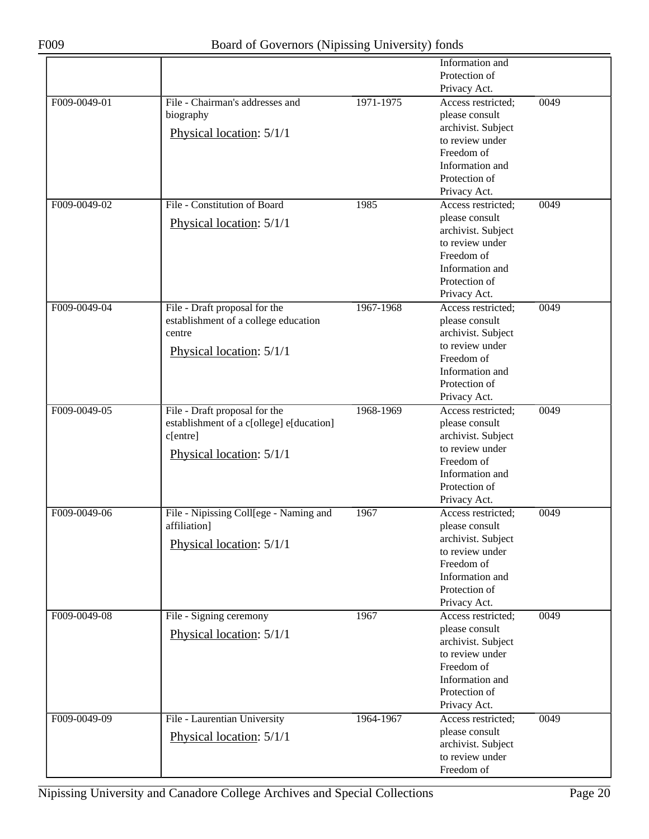|              |                                                                                                                   |           | Information and<br>Protection of<br>Privacy Act.                                                                                                |      |
|--------------|-------------------------------------------------------------------------------------------------------------------|-----------|-------------------------------------------------------------------------------------------------------------------------------------------------|------|
| F009-0049-01 | File - Chairman's addresses and<br>biography<br>Physical location: 5/1/1                                          | 1971-1975 | Access restricted;<br>please consult<br>archivist. Subject<br>to review under<br>Freedom of<br>Information and<br>Protection of<br>Privacy Act. | 0049 |
| F009-0049-02 | File - Constitution of Board<br>Physical location: 5/1/1                                                          | 1985      | Access restricted;<br>please consult<br>archivist. Subject<br>to review under<br>Freedom of<br>Information and<br>Protection of<br>Privacy Act. | 0049 |
| F009-0049-04 | File - Draft proposal for the<br>establishment of a college education<br>centre<br>Physical location: 5/1/1       | 1967-1968 | Access restricted;<br>please consult<br>archivist. Subject<br>to review under<br>Freedom of<br>Information and<br>Protection of<br>Privacy Act. | 0049 |
| F009-0049-05 | File - Draft proposal for the<br>establishment of a c[ollege] e[ducation]<br>c[entre]<br>Physical location: 5/1/1 | 1968-1969 | Access restricted;<br>please consult<br>archivist. Subject<br>to review under<br>Freedom of<br>Information and<br>Protection of<br>Privacy Act. | 0049 |
| F009-0049-06 | File - Nipissing Coll[ege - Naming and<br>affiliation]<br>Physical location: 5/1/1                                | 1967      | Access restricted;<br>please consult<br>archivist. Subject<br>to review under<br>Freedom of<br>Information and<br>Protection of<br>Privacy Act. | 0049 |
| F009-0049-08 | File - Signing ceremony<br>Physical location: 5/1/1                                                               | 1967      | Access restricted;<br>please consult<br>archivist. Subject<br>to review under<br>Freedom of<br>Information and<br>Protection of<br>Privacy Act. | 0049 |
| F009-0049-09 | File - Laurentian University<br>Physical location: 5/1/1                                                          | 1964-1967 | Access restricted;<br>please consult<br>archivist. Subject<br>to review under<br>Freedom of                                                     | 0049 |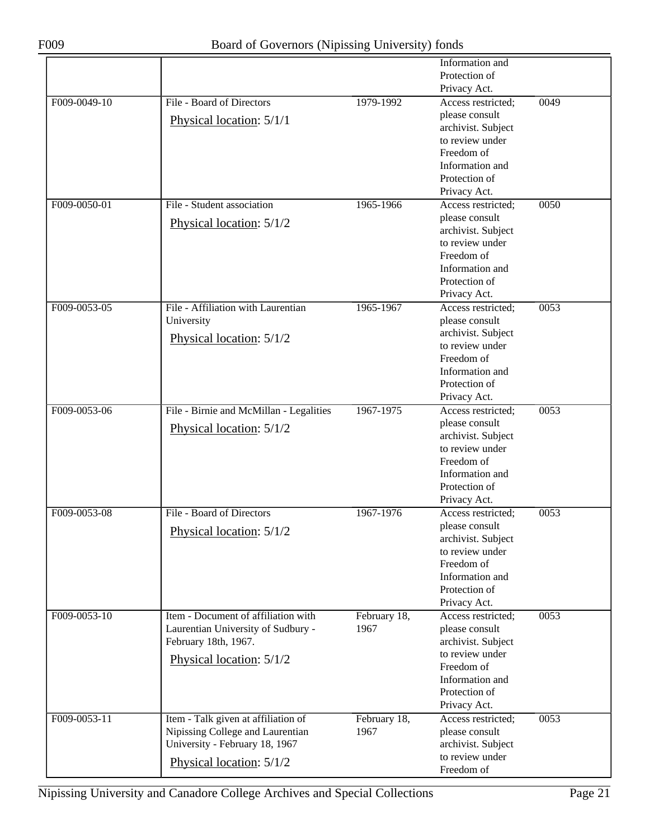|              |                                         |              | Information and                       |      |
|--------------|-----------------------------------------|--------------|---------------------------------------|------|
|              |                                         |              | Protection of                         |      |
|              |                                         |              | Privacy Act.                          |      |
| F009-0049-10 | File - Board of Directors               | 1979-1992    | Access restricted;                    | 0049 |
|              |                                         |              | please consult                        |      |
|              | Physical location: 5/1/1                |              | archivist. Subject                    |      |
|              |                                         |              | to review under                       |      |
|              |                                         |              | Freedom of                            |      |
|              |                                         |              | Information and                       |      |
|              |                                         |              | Protection of                         |      |
|              |                                         |              | Privacy Act.                          |      |
| F009-0050-01 | File - Student association              | 1965-1966    | Access restricted;                    | 0050 |
|              |                                         |              | please consult                        |      |
|              | Physical location: 5/1/2                |              | archivist. Subject                    |      |
|              |                                         |              | to review under                       |      |
|              |                                         |              | Freedom of                            |      |
|              |                                         |              | Information and                       |      |
|              |                                         |              | Protection of                         |      |
|              |                                         |              | Privacy Act.                          |      |
| F009-0053-05 | File - Affiliation with Laurentian      | 1965-1967    | Access restricted;                    | 0053 |
|              | University                              |              | please consult                        |      |
|              | Physical location: 5/1/2                |              | archivist. Subject                    |      |
|              |                                         |              | to review under                       |      |
|              |                                         |              | Freedom of                            |      |
|              |                                         |              | Information and                       |      |
|              |                                         |              | Protection of                         |      |
|              |                                         |              | Privacy Act.                          |      |
| F009-0053-06 | File - Birnie and McMillan - Legalities | 1967-1975    | Access restricted;                    | 0053 |
|              | Physical location: 5/1/2                |              | please consult                        |      |
|              |                                         |              | archivist. Subject                    |      |
|              |                                         |              | to review under                       |      |
|              |                                         |              | Freedom of                            |      |
|              |                                         |              | Information and                       |      |
|              |                                         |              | Protection of                         |      |
|              |                                         |              | Privacy Act.                          |      |
| F009-0053-08 | File - Board of Directors               | 1967-1976    | Access restricted;                    | 0053 |
|              | Physical location: 5/1/2                |              | please consult                        |      |
|              |                                         |              | archivist. Subject<br>to review under |      |
|              |                                         |              | Freedom of                            |      |
|              |                                         |              | Information and                       |      |
|              |                                         |              | Protection of                         |      |
|              |                                         |              | Privacy Act.                          |      |
| F009-0053-10 | Item - Document of affiliation with     | February 18, | Access restricted;                    | 0053 |
|              | Laurentian University of Sudbury -      | 1967         | please consult                        |      |
|              | February 18th, 1967.                    |              | archivist. Subject                    |      |
|              |                                         |              | to review under                       |      |
|              | Physical location: 5/1/2                |              | Freedom of                            |      |
|              |                                         |              | Information and                       |      |
|              |                                         |              | Protection of                         |      |
|              |                                         |              | Privacy Act.                          |      |
| F009-0053-11 | Item - Talk given at affiliation of     | February 18, | Access restricted;                    | 0053 |
|              | Nipissing College and Laurentian        | 1967         | please consult                        |      |
|              | University - February 18, 1967          |              | archivist. Subject                    |      |
|              | Physical location: 5/1/2                |              | to review under                       |      |
|              |                                         |              | Freedom of                            |      |